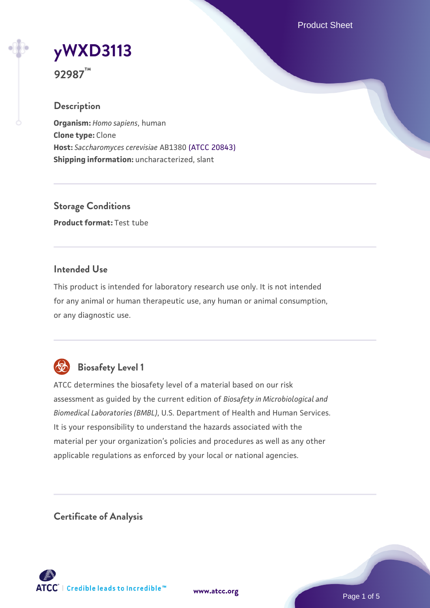Product Sheet

# **[yWXD3113](https://www.atcc.org/products/92987)**

**92987™**

# **Description**

**Organism:** *Homo sapiens*, human **Clone type:** Clone **Host:** *Saccharomyces cerevisiae* AB1380 [\(ATCC 20843\)](https://www.atcc.org/products/20843) **Shipping information:** uncharacterized, slant

**Storage Conditions Product format:** Test tube

# **Intended Use**

This product is intended for laboratory research use only. It is not intended for any animal or human therapeutic use, any human or animal consumption, or any diagnostic use.



# **Biosafety Level 1**

ATCC determines the biosafety level of a material based on our risk assessment as guided by the current edition of *Biosafety in Microbiological and Biomedical Laboratories (BMBL)*, U.S. Department of Health and Human Services. It is your responsibility to understand the hazards associated with the material per your organization's policies and procedures as well as any other applicable regulations as enforced by your local or national agencies.

**Certificate of Analysis**

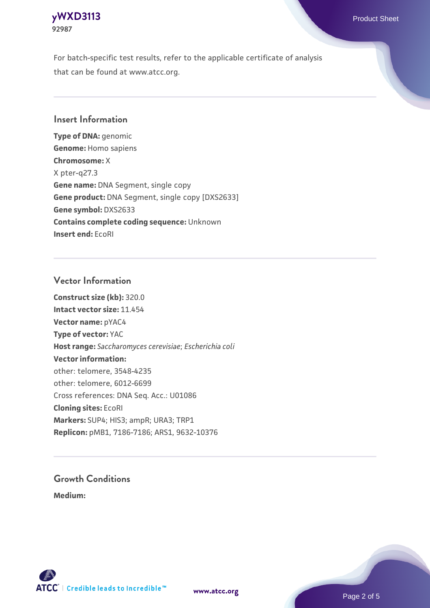# **[yWXD3113](https://www.atcc.org/products/92987)** Product Sheet **92987**

For batch-specific test results, refer to the applicable certificate of analysis that can be found at www.atcc.org.

# **Insert Information**

**Type of DNA:** genomic **Genome:** Homo sapiens **Chromosome:** X X pter-q27.3 **Gene name:** DNA Segment, single copy **Gene product:** DNA Segment, single copy [DXS2633] **Gene symbol:** DXS2633 **Contains complete coding sequence:** Unknown **Insert end:** EcoRI

# **Vector Information**

**Construct size (kb):** 320.0 **Intact vector size:** 11.454 **Vector name:** pYAC4 **Type of vector:** YAC **Host range:** *Saccharomyces cerevisiae*; *Escherichia coli* **Vector information:** other: telomere, 3548-4235 other: telomere, 6012-6699 Cross references: DNA Seq. Acc.: U01086 **Cloning sites:** EcoRI **Markers:** SUP4; HIS3; ampR; URA3; TRP1 **Replicon:** pMB1, 7186-7186; ARS1, 9632-10376

# **Growth Conditions**

**Medium:** 



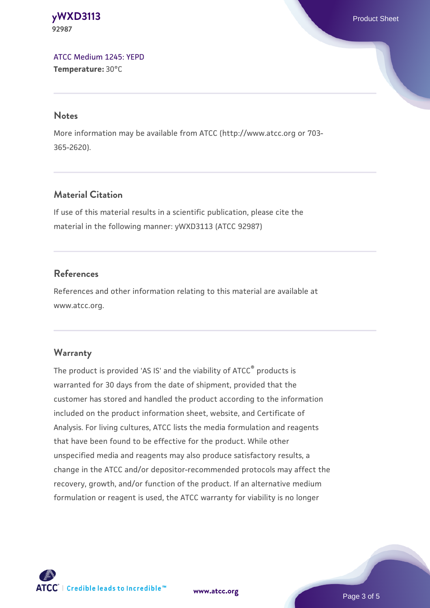**[yWXD3113](https://www.atcc.org/products/92987)** Product Sheet **92987**

[ATCC Medium 1245: YEPD](https://www.atcc.org/-/media/product-assets/documents/microbial-media-formulations/1/2/4/5/atcc-medium-1245.pdf?rev=705ca55d1b6f490a808a965d5c072196) **Temperature:** 30°C

#### **Notes**

More information may be available from ATCC (http://www.atcc.org or 703- 365-2620).

# **Material Citation**

If use of this material results in a scientific publication, please cite the material in the following manner: yWXD3113 (ATCC 92987)

# **References**

References and other information relating to this material are available at www.atcc.org.

#### **Warranty**

The product is provided 'AS IS' and the viability of ATCC® products is warranted for 30 days from the date of shipment, provided that the customer has stored and handled the product according to the information included on the product information sheet, website, and Certificate of Analysis. For living cultures, ATCC lists the media formulation and reagents that have been found to be effective for the product. While other unspecified media and reagents may also produce satisfactory results, a change in the ATCC and/or depositor-recommended protocols may affect the recovery, growth, and/or function of the product. If an alternative medium formulation or reagent is used, the ATCC warranty for viability is no longer



**[www.atcc.org](http://www.atcc.org)**

Page 3 of 5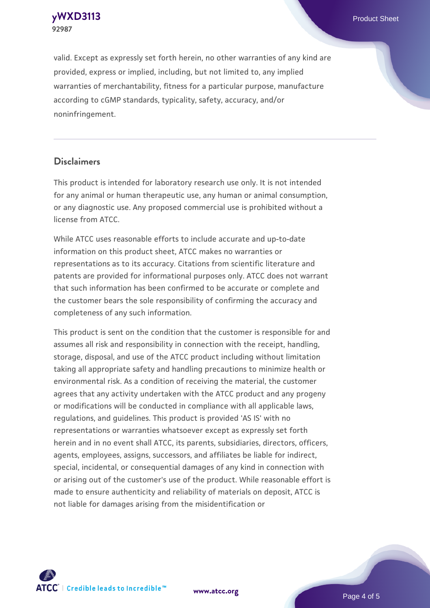**[yWXD3113](https://www.atcc.org/products/92987)** Product Sheet **92987**

valid. Except as expressly set forth herein, no other warranties of any kind are provided, express or implied, including, but not limited to, any implied warranties of merchantability, fitness for a particular purpose, manufacture according to cGMP standards, typicality, safety, accuracy, and/or noninfringement.

#### **Disclaimers**

This product is intended for laboratory research use only. It is not intended for any animal or human therapeutic use, any human or animal consumption, or any diagnostic use. Any proposed commercial use is prohibited without a license from ATCC.

While ATCC uses reasonable efforts to include accurate and up-to-date information on this product sheet, ATCC makes no warranties or representations as to its accuracy. Citations from scientific literature and patents are provided for informational purposes only. ATCC does not warrant that such information has been confirmed to be accurate or complete and the customer bears the sole responsibility of confirming the accuracy and completeness of any such information.

This product is sent on the condition that the customer is responsible for and assumes all risk and responsibility in connection with the receipt, handling, storage, disposal, and use of the ATCC product including without limitation taking all appropriate safety and handling precautions to minimize health or environmental risk. As a condition of receiving the material, the customer agrees that any activity undertaken with the ATCC product and any progeny or modifications will be conducted in compliance with all applicable laws, regulations, and guidelines. This product is provided 'AS IS' with no representations or warranties whatsoever except as expressly set forth herein and in no event shall ATCC, its parents, subsidiaries, directors, officers, agents, employees, assigns, successors, and affiliates be liable for indirect, special, incidental, or consequential damages of any kind in connection with or arising out of the customer's use of the product. While reasonable effort is made to ensure authenticity and reliability of materials on deposit, ATCC is not liable for damages arising from the misidentification or



**[www.atcc.org](http://www.atcc.org)**

Page 4 of 5